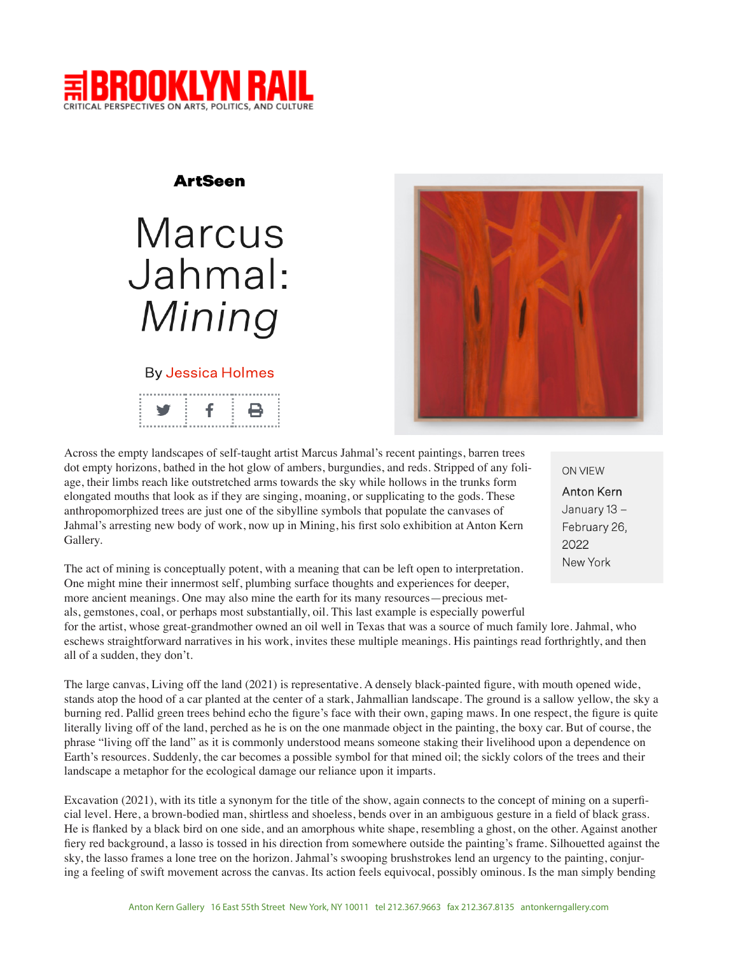

## **ArtSeen**

# Marcus Jahmal: Mining

## **By Jessica Holmes**



Across the empty landscapes of self-taught artist Marcus Jahmal's recent paintings, barren trees dot empty horizons, bathed in the hot glow of ambers, burgundies, and reds. Stripped of any foliage, their limbs reach like outstretched arms towards the sky while hollows in the trunks form elongated mouths that look as if they are singing, moaning, or supplicating to the gods. These anthropomorphized trees are just one of the sibylline symbols that populate the canvases of Jahmal's arresting new body of work, now up in Mining, his first solo exhibition at Anton Kern Gallery.

The act of mining is conceptually potent, with a meaning that can be left open to interpretation. One might mine their innermost self, plumbing surface thoughts and experiences for deeper, more ancient meanings. One may also mine the earth for its many resources—precious metals, gemstones, coal, or perhaps most substantially, oil. This last example is especially powerful

for the artist, whose great-grandmother owned an oil well in Texas that was a source of much family lore. Jahmal, who eschews straightforward narratives in his work, invites these multiple meanings. His paintings read forthrightly, and then all of a sudden, they don't.

The large canvas, Living off the land (2021) is representative. A densely black-painted figure, with mouth opened wide, stands atop the hood of a car planted at the center of a stark, Jahmallian landscape. The ground is a sallow yellow, the sky a burning red. Pallid green trees behind echo the figure's face with their own, gaping maws. In one respect, the figure is quite literally living off of the land, perched as he is on the one manmade object in the painting, the boxy car. But of course, the phrase "living off the land" as it is commonly understood means someone staking their livelihood upon a dependence on Earth's resources. Suddenly, the car becomes a possible symbol for that mined oil; the sickly colors of the trees and their landscape a metaphor for the ecological damage our reliance upon it imparts.

Excavation (2021), with its title a synonym for the title of the show, again connects to the concept of mining on a superficial level. Here, a brown-bodied man, shirtless and shoeless, bends over in an ambiguous gesture in a field of black grass. He is flanked by a black bird on one side, and an amorphous white shape, resembling a ghost, on the other. Against another fiery red background, a lasso is tossed in his direction from somewhere outside the painting's frame. Silhouetted against the sky, the lasso frames a lone tree on the horizon. Jahmal's swooping brushstrokes lend an urgency to the painting, conjuring a feeling of swift movement across the canvas. Its action feels equivocal, possibly ominous. Is the man simply bending

**ON VIEW Anton Kern** January 13-February 26, 2022 New York